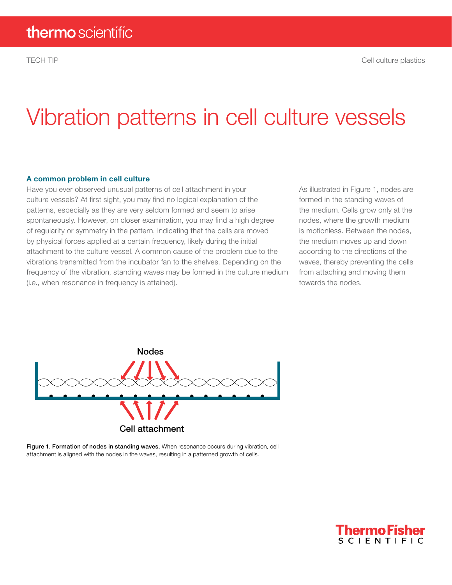# Vibration patterns in cell culture vessels

#### A common problem in cell culture

Have you ever observed unusual patterns of cell attachment in your culture vessels? At first sight, you may find no logical explanation of the patterns, especially as they are very seldom formed and seem to arise spontaneously. However, on closer examination, you may find a high degree of regularity or symmetry in the pattern, indicating that the cells are moved by physical forces applied at a certain frequency, likely during the initial attachment to the culture vessel. A common cause of the problem due to the vibrations transmitted from the incubator fan to the shelves. Depending on the frequency of the vibration, standing waves may be formed in the culture medium (i.e., when resonance in frequency is attained).

As illustrated in Figure 1, nodes are formed in the standing waves of the medium. Cells grow only at the nodes, where the growth medium is motionless. Between the nodes, the medium moves up and down according to the directions of the waves, thereby preventing the cells from attaching and moving them towards the nodes.



Figure 1. Formation of nodes in standing waves. When resonance occurs during vibration, cell attachment is aligned with the nodes in the waves, resulting in a patterned growth of cells.